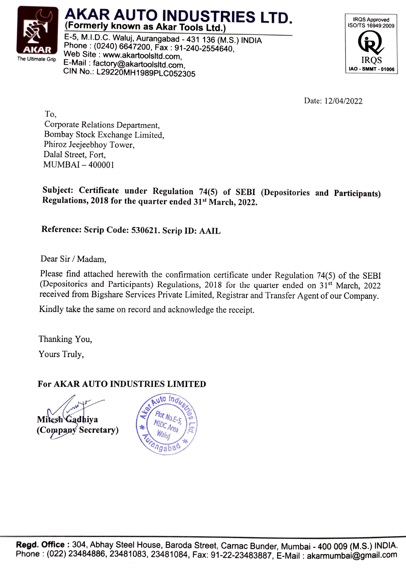

## AKAR AUTO INDUSTRIES LTD. (Formerly known as Akar Tools Ltd.)

E-5, M.I.D.C. Waluj, Aurangabad - 431 136 (M.S.) INDIA Phone: (0240) 6647200, Fax: 91-240-2554640, Web Site: www.akartoolsltd.com, E-Mail : factory@akartoolsltd.com,<br>CIN No. 1.200201.1114.000sltd.com, IRQS CIN No.: L29220MH1989PLC052305



Date: 12/04/2022

To, Corporate Relations Department, Bombay Stock Exchange Limited, Phiroz Jeejeebhoy Tower, Dalal Street, Fort, MUMBAI-400001

Subject: Certificate under Regulation 74(5) of SEBI (Depositories and Participants) Regulations, 2018 for the quarter ended 31s' March, 2022.

Reference: Scrip Code: 530621. Scrip ID: AAIL

Dear Sir / Madam,

Please find attached herewith the confirmation certificate under Regulation 74(5) of the SEBI (Depositories and Participants) Regulations, 2018 for the quarter ended on 31st March, 2022 received from Bigshare Services Private Limited, Registrar and Transfer Agent of our Company.

Kindly take the same on record and acknowledge the receipt.

Thanking You,

Yours Truly,

## For AKAR AUTO INDUSTRIES LIMITED